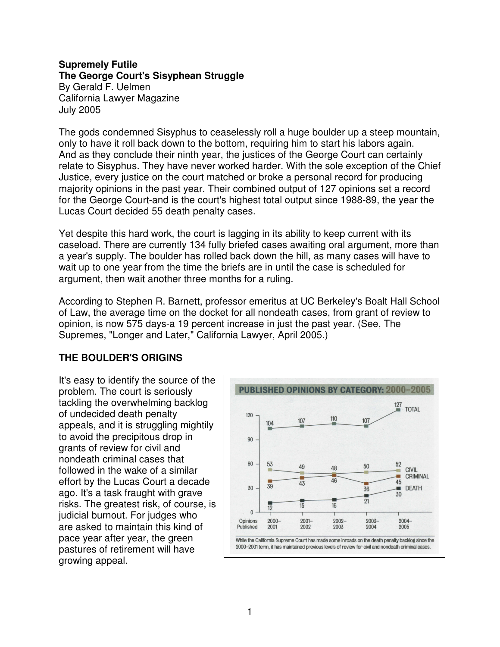## **Supremely Futile The George Court's Sisyphean Struggle**

By Gerald F. Uelmen California Lawyer Magazine July 2005

The gods condemned Sisyphus to ceaselessly roll a huge boulder up a steep mountain, only to have it roll back down to the bottom, requiring him to start his labors again. And as they conclude their ninth year, the justices of the George Court can certainly relate to Sisyphus. They have never worked harder. With the sole exception of the Chief Justice, every justice on the court matched or broke a personal record for producing majority opinions in the past year. Their combined output of 127 opinions set a record for the George Court-and is the court's highest total output since 1988-89, the year the Lucas Court decided 55 death penalty cases.

Yet despite this hard work, the court is lagging in its ability to keep current with its caseload. There are currently 134 fully briefed cases awaiting oral argument, more than a year's supply. The boulder has rolled back down the hill, as many cases will have to wait up to one year from the time the briefs are in until the case is scheduled for argument, then wait another three months for a ruling.

According to Stephen R. Barnett, professor emeritus at UC Berkeley's Boalt Hall School of Law, the average time on the docket for all nondeath cases, from grant of review to opinion, is now 575 days-a 19 percent increase in just the past year. (See, The Supremes, "Longer and Later," California Lawyer, April 2005.)

## **THE BOULDER'S ORIGINS**

It's easy to identify the source of the problem. The court is seriously tackling the overwhelming backlog of undecided death penalty appeals, and it is struggling mightily to avoid the precipitous drop in grants of review for civil and nondeath criminal cases that followed in the wake of a similar effort by the Lucas Court a decade ago. It's a task fraught with grave risks. The greatest risk, of course, is judicial burnout. For judges who are asked to maintain this kind of pace year after year, the green pastures of retirement will have growing appeal.

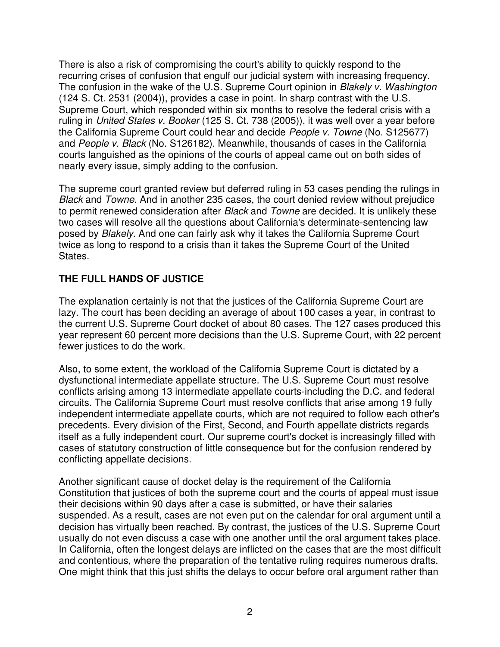There is also a risk of compromising the court's ability to quickly respond to the recurring crises of confusion that engulf our judicial system with increasing frequency. The confusion in the wake of the U.S. Supreme Court opinion in *Blakely v. Washington* (124 S. Ct. 2531 (2004)), provides a case in point. In sharp contrast with the U.S. Supreme Court, which responded within six months to resolve the federal crisis with a ruling in *United States v. Booker* (125 S. Ct. 738 (2005)), it was well over a year before the California Supreme Court could hear and decide *People v. Towne* (No. S125677) and *People v. Black* (No. S126182). Meanwhile, thousands of cases in the California courts languished as the opinions of the courts of appeal came out on both sides of nearly every issue, simply adding to the confusion.

The supreme court granted review but deferred ruling in 53 cases pending the rulings in *Black* and *Towne*. And in another 235 cases, the court denied review without prejudice to permit renewed consideration after *Black* and *Towne* are decided. It is unlikely these two cases will resolve all the questions about California's determinate-sentencing law posed by *Blakely*. And one can fairly ask why it takes the California Supreme Court twice as long to respond to a crisis than it takes the Supreme Court of the United States.

## **THE FULL HANDS OF JUSTICE**

The explanation certainly is not that the justices of the California Supreme Court are lazy. The court has been deciding an average of about 100 cases a year, in contrast to the current U.S. Supreme Court docket of about 80 cases. The 127 cases produced this year represent 60 percent more decisions than the U.S. Supreme Court, with 22 percent fewer justices to do the work.

Also, to some extent, the workload of the California Supreme Court is dictated by a dysfunctional intermediate appellate structure. The U.S. Supreme Court must resolve conflicts arising among 13 intermediate appellate courts-including the D.C. and federal circuits. The California Supreme Court must resolve conflicts that arise among 19 fully independent intermediate appellate courts, which are not required to follow each other's precedents. Every division of the First, Second, and Fourth appellate districts regards itself as a fully independent court. Our supreme court's docket is increasingly filled with cases of statutory construction of little consequence but for the confusion rendered by conflicting appellate decisions.

Another significant cause of docket delay is the requirement of the California Constitution that justices of both the supreme court and the courts of appeal must issue their decisions within 90 days after a case is submitted, or have their salaries suspended. As a result, cases are not even put on the calendar for oral argument until a decision has virtually been reached. By contrast, the justices of the U.S. Supreme Court usually do not even discuss a case with one another until the oral argument takes place. In California, often the longest delays are inflicted on the cases that are the most difficult and contentious, where the preparation of the tentative ruling requires numerous drafts. One might think that this just shifts the delays to occur before oral argument rather than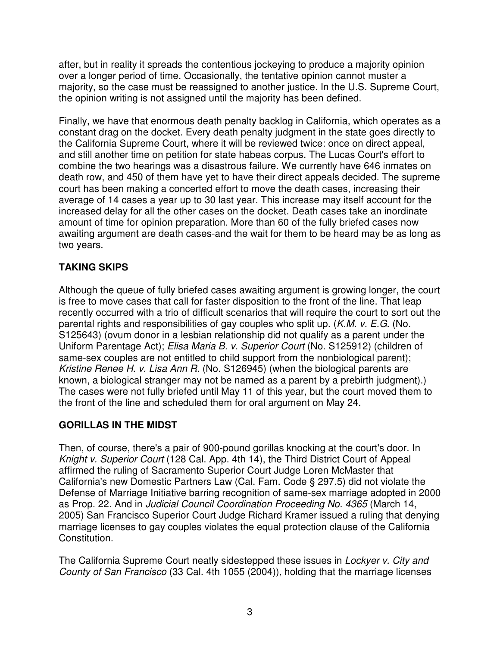after, but in reality it spreads the contentious jockeying to produce a majority opinion over a longer period of time. Occasionally, the tentative opinion cannot muster a majority, so the case must be reassigned to another justice. In the U.S. Supreme Court, the opinion writing is not assigned until the majority has been defined.

Finally, we have that enormous death penalty backlog in California, which operates as a constant drag on the docket. Every death penalty judgment in the state goes directly to the California Supreme Court, where it will be reviewed twice: once on direct appeal, and still another time on petition for state habeas corpus. The Lucas Court's effort to combine the two hearings was a disastrous failure. We currently have 646 inmates on death row, and 450 of them have yet to have their direct appeals decided. The supreme court has been making a concerted effort to move the death cases, increasing their average of 14 cases a year up to 30 last year. This increase may itself account for the increased delay for all the other cases on the docket. Death cases take an inordinate amount of time for opinion preparation. More than 60 of the fully briefed cases now awaiting argument are death cases-and the wait for them to be heard may be as long as two years.

# **TAKING SKIPS**

Although the queue of fully briefed cases awaiting argument is growing longer, the court is free to move cases that call for faster disposition to the front of the line. That leap recently occurred with a trio of difficult scenarios that will require the court to sort out the parental rights and responsibilities of gay couples who split up. (*K.M. v. E.G*. (No. S125643) (ovum donor in a lesbian relationship did not qualify as a parent under the Uniform Parentage Act); *Elisa Maria B. v. Superior Court* (No. S125912) (children of same-sex couples are not entitled to child support from the nonbiological parent); *Kristine Renee H. v. Lisa Ann R.* (No. S126945) (when the biological parents are known, a biological stranger may not be named as a parent by a prebirth judgment).) The cases were not fully briefed until May 11 of this year, but the court moved them to the front of the line and scheduled them for oral argument on May 24.

## **GORILLAS IN THE MIDST**

Then, of course, there's a pair of 900-pound gorillas knocking at the court's door. In *Knight v. Superior Court* (128 Cal. App. 4th 14), the Third District Court of Appeal affirmed the ruling of Sacramento Superior Court Judge Loren McMaster that California's new Domestic Partners Law (Cal. Fam. Code § 297.5) did not violate the Defense of Marriage Initiative barring recognition of same-sex marriage adopted in 2000 as Prop. 22. And in *Judicial Council Coordination Proceeding No. 4365* (March 14, 2005) San Francisco Superior Court Judge Richard Kramer issued a ruling that denying marriage licenses to gay couples violates the equal protection clause of the California Constitution.

The California Supreme Court neatly sidestepped these issues in *Lockyer v. City and County of San Francisco* (33 Cal. 4th 1055 (2004)), holding that the marriage licenses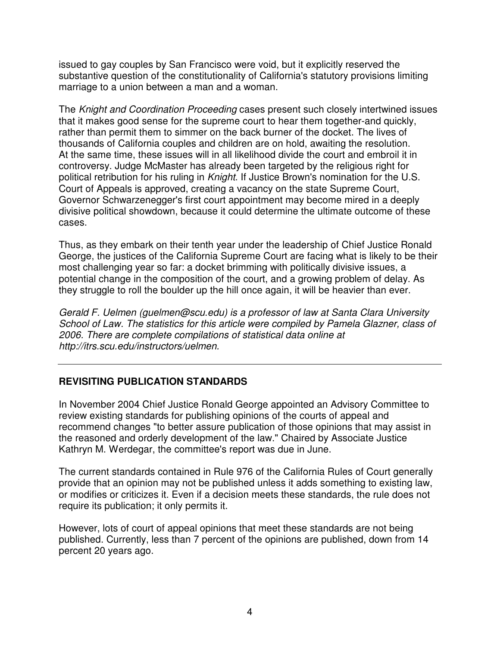issued to gay couples by San Francisco were void, but it explicitly reserved the substantive question of the constitutionality of California's statutory provisions limiting marriage to a union between a man and a woman.

The *Knight and Coordination Proceeding* cases present such closely intertwined issues that it makes good sense for the supreme court to hear them together-and quickly, rather than permit them to simmer on the back burner of the docket. The lives of thousands of California couples and children are on hold, awaiting the resolution. At the same time, these issues will in all likelihood divide the court and embroil it in controversy. Judge McMaster has already been targeted by the religious right for political retribution for his ruling in *Knight*. If Justice Brown's nomination for the U.S. Court of Appeals is approved, creating a vacancy on the state Supreme Court, Governor Schwarzenegger's first court appointment may become mired in a deeply divisive political showdown, because it could determine the ultimate outcome of these cases.

Thus, as they embark on their tenth year under the leadership of Chief Justice Ronald George, the justices of the California Supreme Court are facing what is likely to be their most challenging year so far: a docket brimming with politically divisive issues, a potential change in the composition of the court, and a growing problem of delay. As they struggle to roll the boulder up the hill once again, it will be heavier than ever.

*Gerald F. Uelmen (guelmen@scu.edu) is a professor of law at Santa Clara University School of Law. The statistics for this article were compiled by Pamela Glazner, class of 2006. There are complete compilations of statistical data online at http://itrs.scu.edu/instructors/uelmen.*

## **REVISITING PUBLICATION STANDARDS**

In November 2004 Chief Justice Ronald George appointed an Advisory Committee to review existing standards for publishing opinions of the courts of appeal and recommend changes "to better assure publication of those opinions that may assist in the reasoned and orderly development of the law." Chaired by Associate Justice Kathryn M. Werdegar, the committee's report was due in June.

The current standards contained in Rule 976 of the California Rules of Court generally provide that an opinion may not be published unless it adds something to existing law, or modifies or criticizes it. Even if a decision meets these standards, the rule does not require its publication; it only permits it.

However, lots of court of appeal opinions that meet these standards are not being published. Currently, less than 7 percent of the opinions are published, down from 14 percent 20 years ago.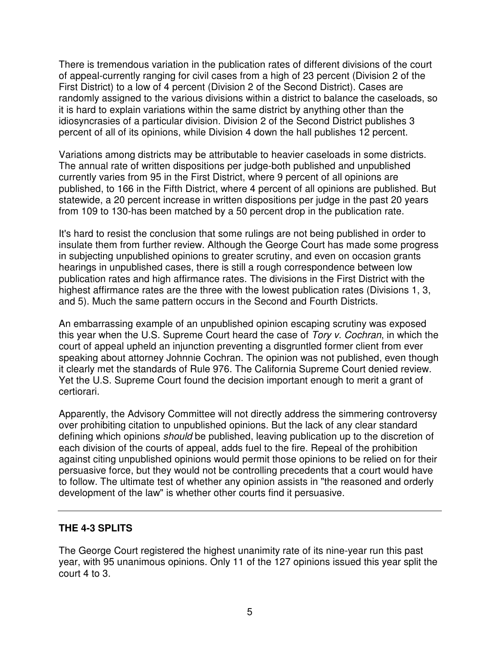There is tremendous variation in the publication rates of different divisions of the court of appeal-currently ranging for civil cases from a high of 23 percent (Division 2 of the First District) to a low of 4 percent (Division 2 of the Second District). Cases are randomly assigned to the various divisions within a district to balance the caseloads, so it is hard to explain variations within the same district by anything other than the idiosyncrasies of a particular division. Division 2 of the Second District publishes 3 percent of all of its opinions, while Division 4 down the hall publishes 12 percent.

Variations among districts may be attributable to heavier caseloads in some districts. The annual rate of written dispositions per judge-both published and unpublished currently varies from 95 in the First District, where 9 percent of all opinions are published, to 166 in the Fifth District, where 4 percent of all opinions are published. But statewide, a 20 percent increase in written dispositions per judge in the past 20 years from 109 to 130-has been matched by a 50 percent drop in the publication rate.

It's hard to resist the conclusion that some rulings are not being published in order to insulate them from further review. Although the George Court has made some progress in subjecting unpublished opinions to greater scrutiny, and even on occasion grants hearings in unpublished cases, there is still a rough correspondence between low publication rates and high affirmance rates. The divisions in the First District with the highest affirmance rates are the three with the lowest publication rates (Divisions 1, 3, and 5). Much the same pattern occurs in the Second and Fourth Districts.

An embarrassing example of an unpublished opinion escaping scrutiny was exposed this year when the U.S. Supreme Court heard the case of *Tory v. Cochran*, in which the court of appeal upheld an injunction preventing a disgruntled former client from ever speaking about attorney Johnnie Cochran. The opinion was not published, even though it clearly met the standards of Rule 976. The California Supreme Court denied review. Yet the U.S. Supreme Court found the decision important enough to merit a grant of certiorari.

Apparently, the Advisory Committee will not directly address the simmering controversy over prohibiting citation to unpublished opinions. But the lack of any clear standard defining which opinions *should* be published, leaving publication up to the discretion of each division of the courts of appeal, adds fuel to the fire. Repeal of the prohibition against citing unpublished opinions would permit those opinions to be relied on for their persuasive force, but they would not be controlling precedents that a court would have to follow. The ultimate test of whether any opinion assists in "the reasoned and orderly development of the law" is whether other courts find it persuasive.

## **THE 4-3 SPLITS**

The George Court registered the highest unanimity rate of its nine-year run this past year, with 95 unanimous opinions. Only 11 of the 127 opinions issued this year split the court 4 to 3.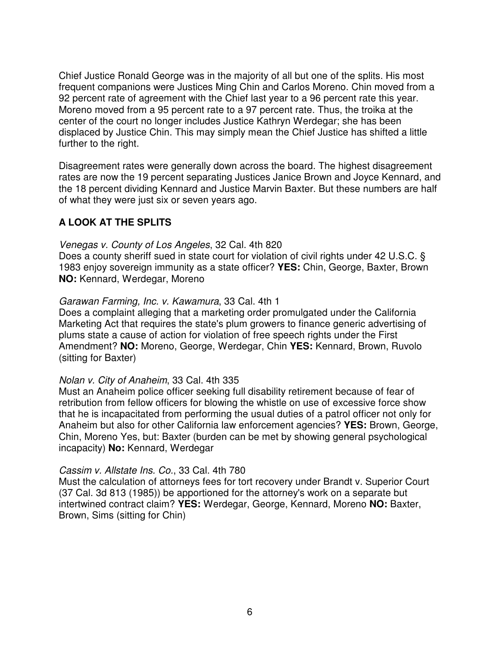Chief Justice Ronald George was in the majority of all but one of the splits. His most frequent companions were Justices Ming Chin and Carlos Moreno. Chin moved from a 92 percent rate of agreement with the Chief last year to a 96 percent rate this year. Moreno moved from a 95 percent rate to a 97 percent rate. Thus, the troika at the center of the court no longer includes Justice Kathryn Werdegar; she has been displaced by Justice Chin. This may simply mean the Chief Justice has shifted a little further to the right.

Disagreement rates were generally down across the board. The highest disagreement rates are now the 19 percent separating Justices Janice Brown and Joyce Kennard, and the 18 percent dividing Kennard and Justice Marvin Baxter. But these numbers are half of what they were just six or seven years ago.

## **A LOOK AT THE SPLITS**

### *Venegas v. County of Los Angeles*, 32 Cal. 4th 820

Does a county sheriff sued in state court for violation of civil rights under 42 U.S.C. § 1983 enjoy sovereign immunity as a state officer? **YES:** Chin, George, Baxter, Brown **NO:** Kennard, Werdegar, Moreno

### *Garawan Farming, Inc. v. Kawamura*, 33 Cal. 4th 1

Does a complaint alleging that a marketing order promulgated under the California Marketing Act that requires the state's plum growers to finance generic advertising of plums state a cause of action for violation of free speech rights under the First Amendment? **NO:** Moreno, George, Werdegar, Chin **YES:** Kennard, Brown, Ruvolo (sitting for Baxter)

### *Nolan v. City of Anaheim*, 33 Cal. 4th 335

Must an Anaheim police officer seeking full disability retirement because of fear of retribution from fellow officers for blowing the whistle on use of excessive force show that he is incapacitated from performing the usual duties of a patrol officer not only for Anaheim but also for other California law enforcement agencies? **YES:** Brown, George, Chin, Moreno Yes, but: Baxter (burden can be met by showing general psychological incapacity) **No:** Kennard, Werdegar

## *Cassim v. Allstate Ins. Co.*, 33 Cal. 4th 780

Must the calculation of attorneys fees for tort recovery under Brandt v. Superior Court (37 Cal. 3d 813 (1985)) be apportioned for the attorney's work on a separate but intertwined contract claim? **YES:** Werdegar, George, Kennard, Moreno **NO:** Baxter, Brown, Sims (sitting for Chin)